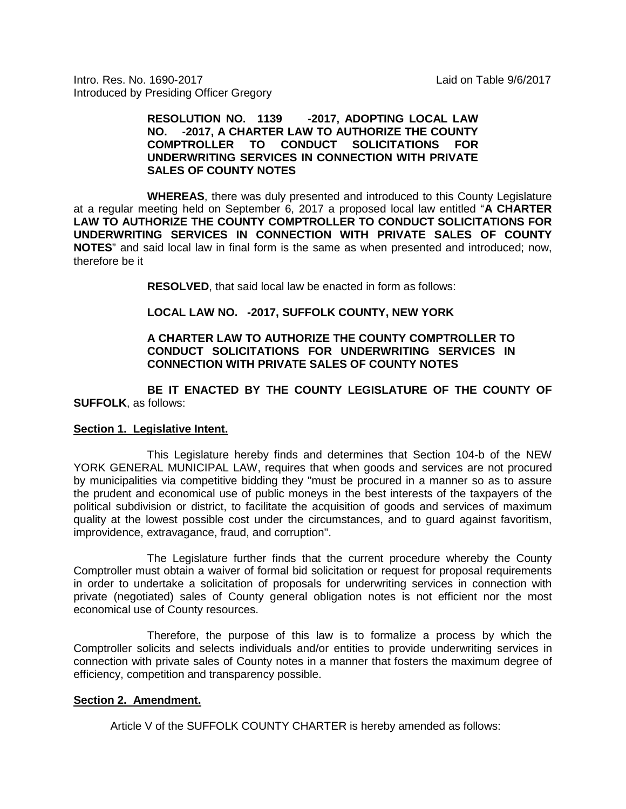Intro. Res. No. 1690-2017 Laid on Table 9/6/2017 Introduced by Presiding Officer Gregory

## **RESOLUTION NO. 1139 -2017, ADOPTING LOCAL LAW NO.** -**2017, A CHARTER LAW TO AUTHORIZE THE COUNTY COMPTROLLER TO CONDUCT SOLICITATIONS FOR UNDERWRITING SERVICES IN CONNECTION WITH PRIVATE SALES OF COUNTY NOTES**

**WHEREAS**, there was duly presented and introduced to this County Legislature at a regular meeting held on September 6, 2017 a proposed local law entitled "**A CHARTER LAW TO AUTHORIZE THE COUNTY COMPTROLLER TO CONDUCT SOLICITATIONS FOR UNDERWRITING SERVICES IN CONNECTION WITH PRIVATE SALES OF COUNTY NOTES**" and said local law in final form is the same as when presented and introduced; now, therefore be it

**RESOLVED**, that said local law be enacted in form as follows:

# **LOCAL LAW NO. -2017, SUFFOLK COUNTY, NEW YORK**

## **A CHARTER LAW TO AUTHORIZE THE COUNTY COMPTROLLER TO CONDUCT SOLICITATIONS FOR UNDERWRITING SERVICES IN CONNECTION WITH PRIVATE SALES OF COUNTY NOTES**

**BE IT ENACTED BY THE COUNTY LEGISLATURE OF THE COUNTY OF SUFFOLK**, as follows:

### **Section 1. Legislative Intent.**

This Legislature hereby finds and determines that Section 104-b of the NEW YORK GENERAL MUNICIPAL LAW, requires that when goods and services are not procured by municipalities via competitive bidding they "must be procured in a manner so as to assure the prudent and economical use of public moneys in the best interests of the taxpayers of the political subdivision or district, to facilitate the acquisition of goods and services of maximum quality at the lowest possible cost under the circumstances, and to guard against favoritism, improvidence, extravagance, fraud, and corruption".

The Legislature further finds that the current procedure whereby the County Comptroller must obtain a waiver of formal bid solicitation or request for proposal requirements in order to undertake a solicitation of proposals for underwriting services in connection with private (negotiated) sales of County general obligation notes is not efficient nor the most economical use of County resources.

Therefore, the purpose of this law is to formalize a process by which the Comptroller solicits and selects individuals and/or entities to provide underwriting services in connection with private sales of County notes in a manner that fosters the maximum degree of efficiency, competition and transparency possible.

### **Section 2. Amendment.**

Article V of the SUFFOLK COUNTY CHARTER is hereby amended as follows: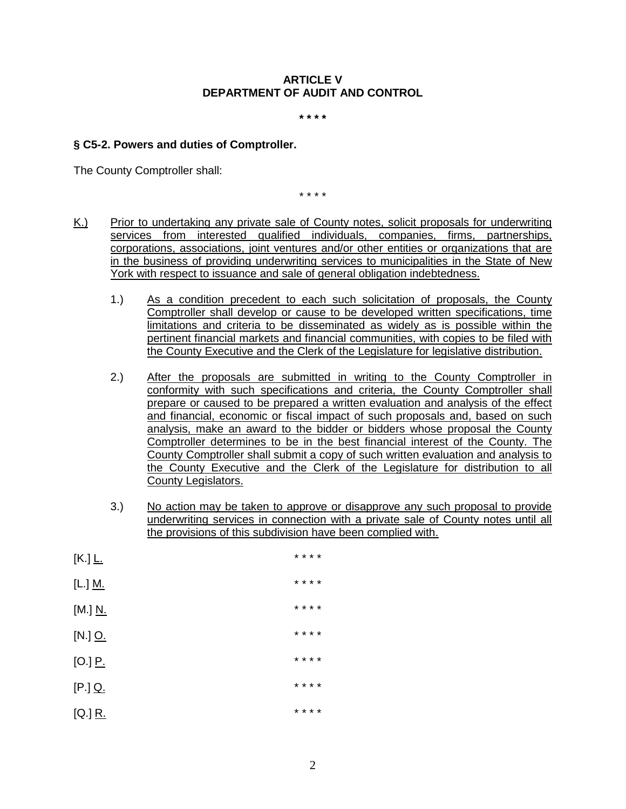## **ARTICLE V DEPARTMENT OF AUDIT AND CONTROL**

**\* \* \* \***

## **§ C5-2. Powers and duties of Comptroller.**

The County Comptroller shall:

\* \* \* \*

- K.) Prior to undertaking any private sale of County notes, solicit proposals for underwriting services from interested qualified individuals, companies, firms, partnerships, corporations, associations, joint ventures and/or other entities or organizations that are in the business of providing underwriting services to municipalities in the State of New York with respect to issuance and sale of general obligation indebtedness.
	- 1.) As a condition precedent to each such solicitation of proposals, the County Comptroller shall develop or cause to be developed written specifications, time limitations and criteria to be disseminated as widely as is possible within the pertinent financial markets and financial communities, with copies to be filed with the County Executive and the Clerk of the Legislature for legislative distribution.
	- 2.) After the proposals are submitted in writing to the County Comptroller in conformity with such specifications and criteria, the County Comptroller shall prepare or caused to be prepared a written evaluation and analysis of the effect and financial, economic or fiscal impact of such proposals and, based on such analysis, make an award to the bidder or bidders whose proposal the County Comptroller determines to be in the best financial interest of the County. The County Comptroller shall submit a copy of such written evaluation and analysis to the County Executive and the Clerk of the Legislature for distribution to all County Legislators.
	- 3.) No action may be taken to approve or disapprove any such proposal to provide underwriting services in connection with a private sale of County notes until all the provisions of this subdivision have been complied with.

| $[K.]$ $L.$              |  | * * * * |  |
|--------------------------|--|---------|--|
| [L.] <u>M.</u>           |  | * * * * |  |
| [M.] <u>N.</u>           |  | * * * * |  |
| $[N.]$ $Q.$              |  | * * * * |  |
| $[O.]$ $\underline{P}$ . |  | * * * * |  |
| $[P.]$ Q.                |  | * * * * |  |
| $[Q.]$ R.                |  | * * * * |  |